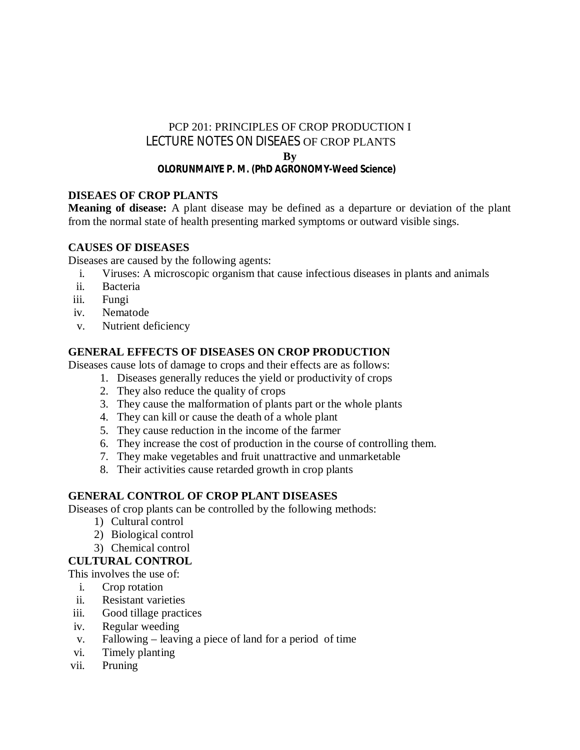# PCP 201: PRINCIPLES OF CROP PRODUCTION I LECTURE NOTES ON DISEAES OF CROP PLANTS **By**

# **OLORUNMAIYE P. M. (PhD AGRONOMY-Weed Science)**

# **DISEAES OF CROP PLANTS**

**Meaning of disease:** A plant disease may be defined as a departure or deviation of the plant from the normal state of health presenting marked symptoms or outward visible sings.

# **CAUSES OF DISEASES**

Diseases are caused by the following agents:

- i. Viruses: A microscopic organism that cause infectious diseases in plants and animals
- ii. Bacteria
- iii. Fungi
- iv. Nematode
- v. Nutrient deficiency

# **GENERAL EFFECTS OF DISEASES ON CROP PRODUCTION**

Diseases cause lots of damage to crops and their effects are as follows:

- 1. Diseases generally reduces the yield or productivity of crops
- 2. They also reduce the quality of crops
- 3. They cause the malformation of plants part or the whole plants
- 4. They can kill or cause the death of a whole plant
- 5. They cause reduction in the income of the farmer
- 6. They increase the cost of production in the course of controlling them.
- 7. They make vegetables and fruit unattractive and unmarketable
- 8. Their activities cause retarded growth in crop plants

# **GENERAL CONTROL OF CROP PLANT DISEASES**

Diseases of crop plants can be controlled by the following methods:

- 1) Cultural control
- 2) Biological control
- 3) Chemical control
- **CULTURAL CONTROL**

This involves the use of:

- i. Crop rotation
- ii. Resistant varieties
- iii. Good tillage practices
- iv. Regular weeding
- v. Fallowing leaving a piece of land for a period of time
- vi. Timely planting
- vii. Pruning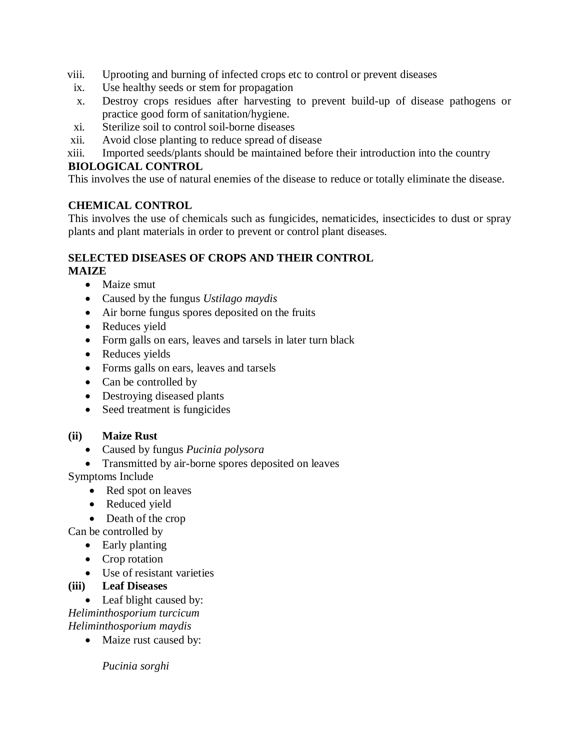- viii. Uprooting and burning of infected crops etc to control or prevent diseases
- ix. Use healthy seeds or stem for propagation
- x. Destroy crops residues after harvesting to prevent build-up of disease pathogens or practice good form of sanitation/hygiene.
- xi. Sterilize soil to control soil-borne diseases
- xii. Avoid close planting to reduce spread of disease
- xiii. Imported seeds/plants should be maintained before their introduction into the country

### **BIOLOGICAL CONTROL**

This involves the use of natural enemies of the disease to reduce or totally eliminate the disease.

### **CHEMICAL CONTROL**

This involves the use of chemicals such as fungicides, nematicides, insecticides to dust or spray plants and plant materials in order to prevent or control plant diseases.

#### **SELECTED DISEASES OF CROPS AND THEIR CONTROL MAIZE**

- Maize smut
- Caused by the fungus *Ustilago maydis*
- Air borne fungus spores deposited on the fruits
- Reduces yield
- Form galls on ears, leaves and tarsels in later turn black
- Reduces yields
- Forms galls on ears, leaves and tarsels
- Can be controlled by
- Destroying diseased plants
- Seed treatment is fungicides

### **(ii) Maize Rust**

- Caused by fungus *Pucinia polysora*
- Transmitted by air-borne spores deposited on leaves

Symptoms Include

- Red spot on leaves
- Reduced yield
- Death of the crop

Can be controlled by

- Early planting
- Crop rotation
- Use of resistant varieties

### **(iii) Leaf Diseases**

• Leaf blight caused by: *Heliminthosporium turcicum Heliminthosporium maydis* 

• Maize rust caused by:

*Pucinia sorghi*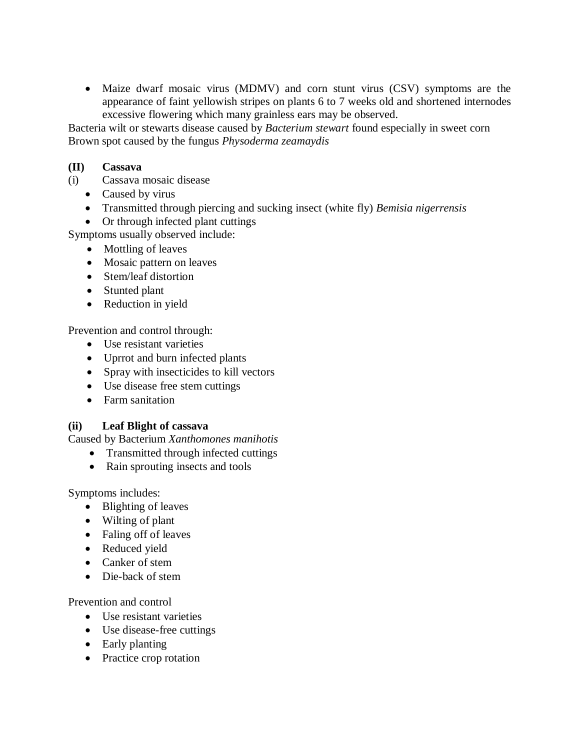Maize dwarf mosaic virus (MDMV) and corn stunt virus (CSV) symptoms are the appearance of faint yellowish stripes on plants 6 to 7 weeks old and shortened internodes excessive flowering which many grainless ears may be observed.

Bacteria wilt or stewarts disease caused by *Bacterium stewart* found especially in sweet corn Brown spot caused by the fungus *Physoderma zeamaydis* 

### **(II) Cassava**

- (i) Cassava mosaic disease
	- Caused by virus
	- Transmitted through piercing and sucking insect (white fly) *Bemisia nigerrensis*
	- Or through infected plant cuttings

Symptoms usually observed include:

- Mottling of leaves
- Mosaic pattern on leaves
- Stem/leaf distortion
- Stunted plant
- Reduction in yield

Prevention and control through:

- Use resistant varieties
- Uprrot and burn infected plants
- Spray with insecticides to kill vectors
- Use disease free stem cuttings
- Farm sanitation

### **(ii) Leaf Blight of cassava**

Caused by Bacterium *Xanthomones manihotis* 

- Transmitted through infected cuttings
- Rain sprouting insects and tools

Symptoms includes:

- Blighting of leaves
- Wilting of plant
- Faling off of leaves
- Reduced yield
- Canker of stem
- Die-back of stem

Prevention and control

- Use resistant varieties
- Use disease-free cuttings
- Early planting
- Practice crop rotation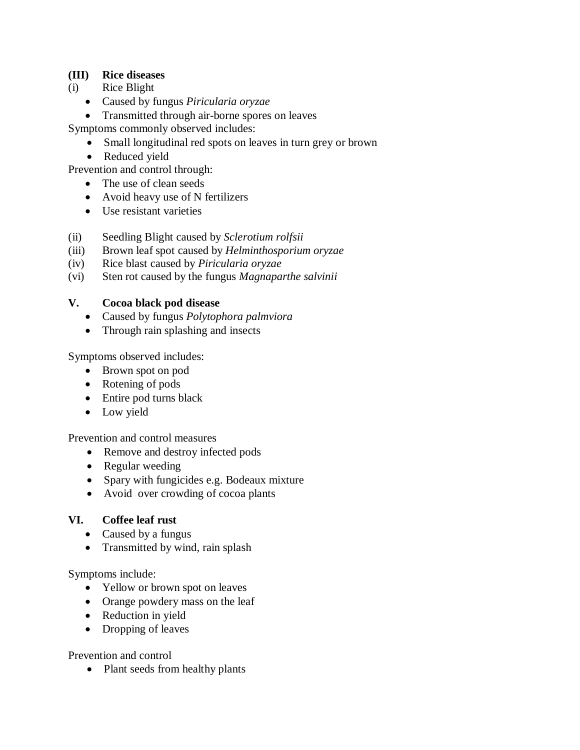### **(III) Rice diseases**

- (i) Rice Blight
	- Caused by fungus *Piricularia oryzae*
	- Transmitted through air-borne spores on leaves

Symptoms commonly observed includes:

- Small longitudinal red spots on leaves in turn grey or brown
- Reduced yield

Prevention and control through:

- The use of clean seeds
- Avoid heavy use of N fertilizers
- Use resistant varieties
- (ii) Seedling Blight caused by *Sclerotium rolfsii*
- (iii) Brown leaf spot caused by *Helminthosporium oryzae*
- (iv) Rice blast caused by *Piricularia oryzae*
- (vi) Sten rot caused by the fungus *Magnaparthe salvinii*

# **V. Cocoa black pod disease**

- Caused by fungus *Polytophora palmviora*
- Through rain splashing and insects

Symptoms observed includes:

- Brown spot on pod
- Rotening of pods
- Entire pod turns black
- Low yield

Prevention and control measures

- Remove and destroy infected pods
- Regular weeding
- Spary with fungicides e.g. Bodeaux mixture
- Avoid over crowding of cocoa plants

### **VI. Coffee leaf rust**

- Caused by a fungus
- Transmitted by wind, rain splash

Symptoms include:

- Yellow or brown spot on leaves
- Orange powdery mass on the leaf
- Reduction in yield
- Dropping of leaves

Prevention and control

• Plant seeds from healthy plants